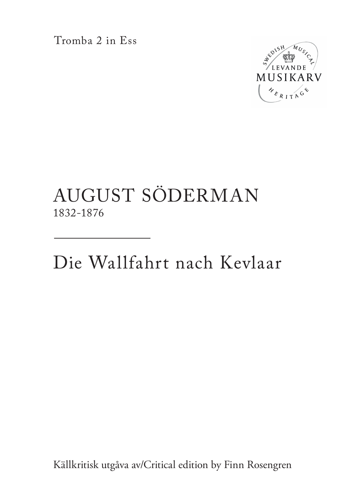Tromba 2 in Ess



## AUGUST SÖDERMAN 1832-1876

Die Wallfahrt nach Kevlaar

Källkritisk utgåva av/Critical edition by Finn Rosengren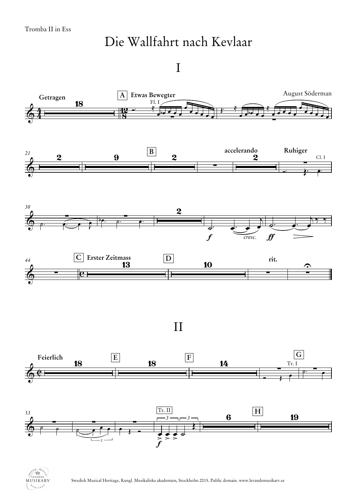## Die Wallfahrt nach Kevlaar

I